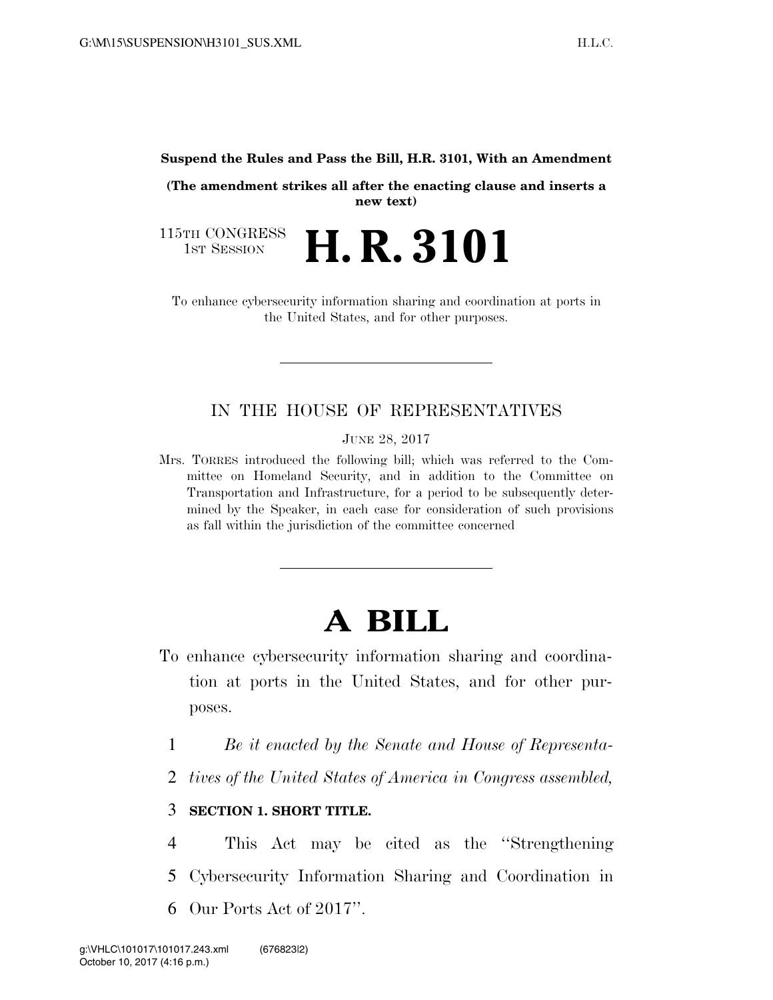**Suspend the Rules and Pass the Bill, H.R. 3101, With an Amendment** 

**(The amendment strikes all after the enacting clause and inserts a new text)** 

115TH CONGRESS<br>1st Session 1ST SESSION **H. R. 3101**

To enhance cybersecurity information sharing and coordination at ports in the United States, and for other purposes.

## IN THE HOUSE OF REPRESENTATIVES

JUNE 28, 2017

Mrs. TORRES introduced the following bill; which was referred to the Committee on Homeland Security, and in addition to the Committee on Transportation and Infrastructure, for a period to be subsequently determined by the Speaker, in each case for consideration of such provisions as fall within the jurisdiction of the committee concerned

## **A BILL**

- To enhance cybersecurity information sharing and coordination at ports in the United States, and for other purposes.
	- 1 *Be it enacted by the Senate and House of Representa-*
	- 2 *tives of the United States of America in Congress assembled,*

## 3 **SECTION 1. SHORT TITLE.**

4 This Act may be cited as the ''Strengthening 5 Cybersecurity Information Sharing and Coordination in 6 Our Ports Act of 2017''.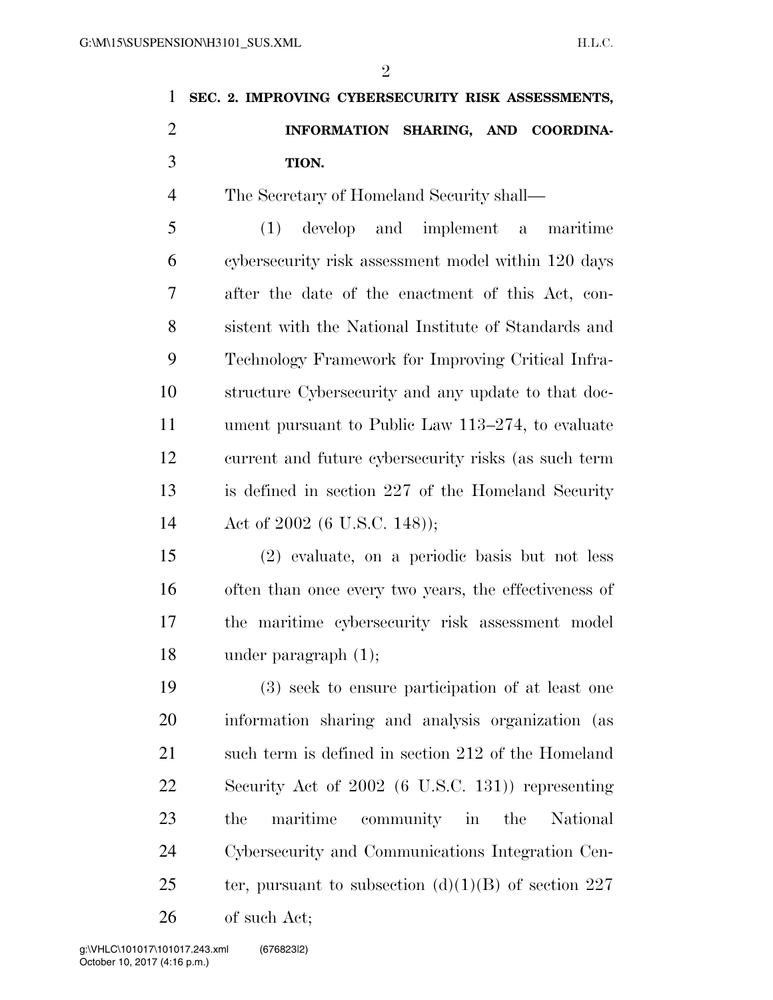|               | 1 SEC. 2. IMPROVING CYBERSECURITY RISK ASSESSMENTS, |  |  |
|---------------|-----------------------------------------------------|--|--|
| $\mathcal{D}$ | INFORMATION SHARING, AND COORDINA-                  |  |  |
| $\mathcal{R}$ | TION.                                               |  |  |

The Secretary of Homeland Security shall—

 (1) develop and implement a maritime cybersecurity risk assessment model within 120 days after the date of the enactment of this Act, con- sistent with the National Institute of Standards and Technology Framework for Improving Critical Infra- structure Cybersecurity and any update to that doc- ument pursuant to Public Law 113–274, to evaluate current and future cybersecurity risks (as such term is defined in section 227 of the Homeland Security Act of 2002 (6 U.S.C. 148));

 (2) evaluate, on a periodic basis but not less often than once every two years, the effectiveness of the maritime cybersecurity risk assessment model under paragraph (1);

 (3) seek to ensure participation of at least one information sharing and analysis organization (as 21 such term is defined in section 212 of the Homeland Security Act of 2002 (6 U.S.C. 131)) representing the maritime community in the National Cybersecurity and Communications Integration Cen-25 ter, pursuant to subsection  $(d)(1)(B)$  of section 227 of such Act;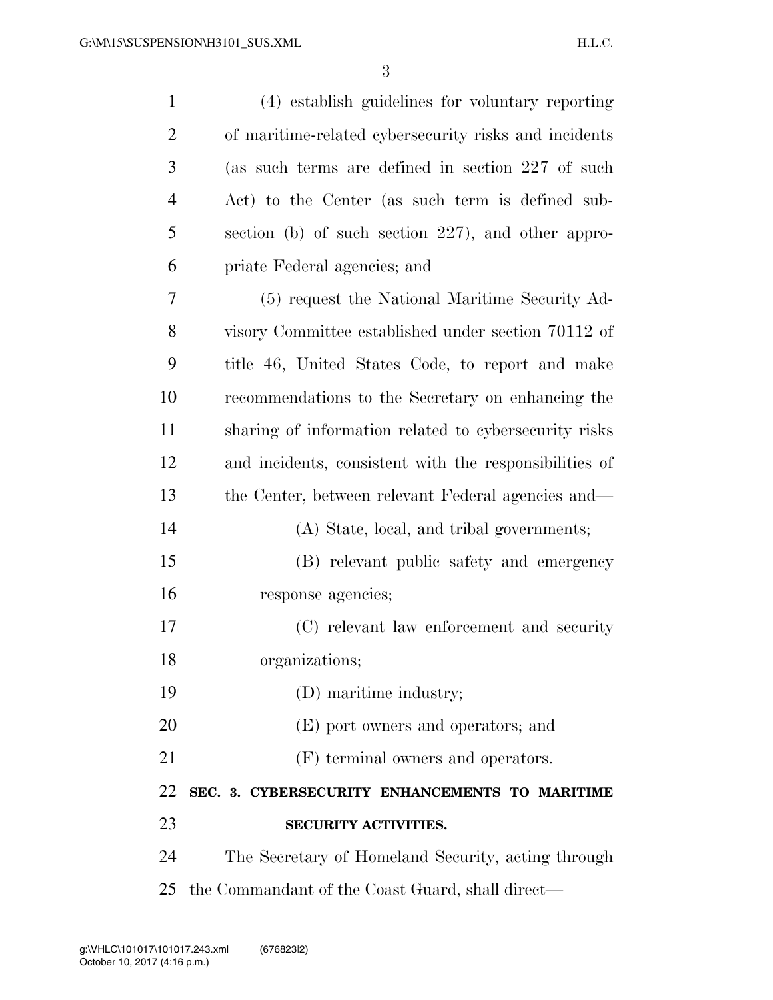| $\mathbf{1}$   | (4) establish guidelines for voluntary reporting       |
|----------------|--------------------------------------------------------|
| $\overline{2}$ | of maritime-related cybersecurity risks and incidents  |
| 3              | (as such terms are defined in section 227 of such      |
| 4              | Act) to the Center (as such term is defined sub-       |
| 5              | section (b) of such section 227), and other appro-     |
| 6              | priate Federal agencies; and                           |
| 7              | (5) request the National Maritime Security Ad-         |
| 8              | visory Committee established under section 70112 of    |
| 9              | title 46, United States Code, to report and make       |
| 10             | recommendations to the Secretary on enhancing the      |
| 11             | sharing of information related to cybersecurity risks  |
| 12             | and incidents, consistent with the responsibilities of |
| 13             | the Center, between relevant Federal agencies and—     |
| 14             | (A) State, local, and tribal governments;              |
| 15             | (B) relevant public safety and emergency               |
| 16             | response agencies;                                     |
| 17             | (C) relevant law enforcement and security              |
| 18             | organizations;                                         |
| 19             | (D) maritime industry;                                 |
| 20             | (E) port owners and operators; and                     |
| 21             | (F) terminal owners and operators.                     |
| 22             | SEC. 3. CYBERSECURITY ENHANCEMENTS TO MARITIME         |
| 23             | <b>SECURITY ACTIVITIES.</b>                            |
| 24             | The Secretary of Homeland Security, acting through     |
| 25             | the Commandant of the Coast Guard, shall direct—       |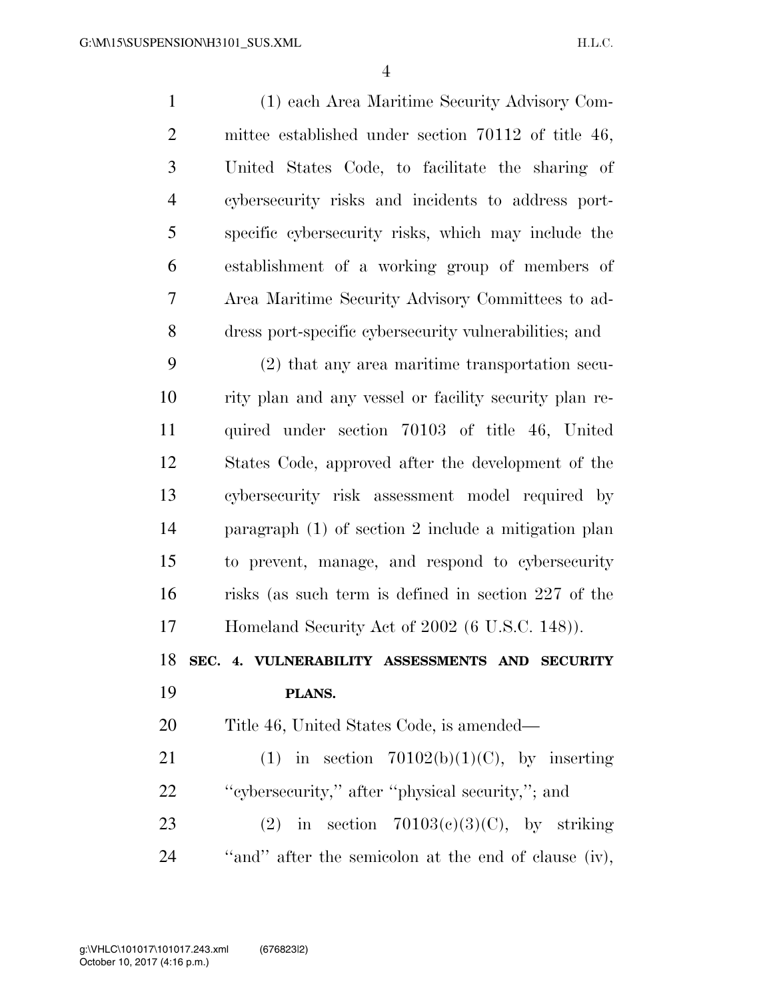(1) each Area Maritime Security Advisory Com- mittee established under section 70112 of title 46, United States Code, to facilitate the sharing of cybersecurity risks and incidents to address port- specific cybersecurity risks, which may include the establishment of a working group of members of Area Maritime Security Advisory Committees to ad- dress port-specific cybersecurity vulnerabilities; and (2) that any area maritime transportation secu-

 rity plan and any vessel or facility security plan re- quired under section 70103 of title 46, United States Code, approved after the development of the cybersecurity risk assessment model required by paragraph (1) of section 2 include a mitigation plan to prevent, manage, and respond to cybersecurity risks (as such term is defined in section 227 of the Homeland Security Act of 2002 (6 U.S.C. 148)).

**SEC. 4. VULNERABILITY ASSESSMENTS AND SECURITY** 

## **PLANS.**

Title 46, United States Code, is amended—

21 (1) in section  $70102(b)(1)(C)$ , by inserting ''cybersecurity,'' after ''physical security,''; and 23 (2) in section  $70103(c)(3)(C)$ , by striking ''and'' after the semicolon at the end of clause (iv),